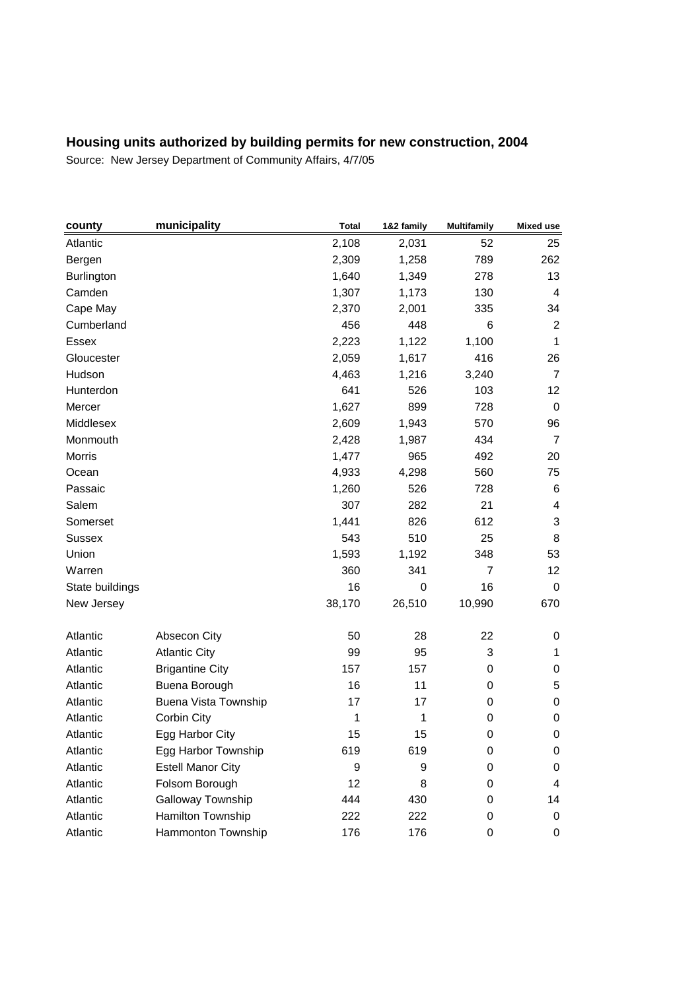| county          | municipality             | <b>Total</b> | 1&2 family | <b>Multifamily</b> | Mixed use        |
|-----------------|--------------------------|--------------|------------|--------------------|------------------|
| Atlantic        |                          | 2,108        | 2,031      | 52                 | 25               |
| Bergen          |                          | 2,309        | 1,258      | 789                | 262              |
| Burlington      |                          | 1,640        | 1,349      | 278                | 13               |
| Camden          |                          | 1,307        | 1,173      | 130                | $\overline{4}$   |
| Cape May        |                          | 2,370        | 2,001      | 335                | 34               |
| Cumberland      |                          | 456          | 448        | 6                  | 2                |
| Essex           |                          | 2,223        | 1,122      | 1,100              | 1                |
| Gloucester      |                          | 2,059        | 1,617      | 416                | 26               |
| Hudson          |                          | 4,463        | 1,216      | 3,240              | $\overline{7}$   |
| Hunterdon       |                          | 641          | 526        | 103                | 12               |
| Mercer          |                          | 1,627        | 899        | 728                | 0                |
| Middlesex       |                          | 2,609        | 1,943      | 570                | 96               |
| Monmouth        |                          | 2,428        | 1,987      | 434                | $\overline{7}$   |
| Morris          |                          | 1,477        | 965        | 492                | 20               |
| Ocean           |                          | 4,933        | 4,298      | 560                | 75               |
| Passaic         |                          | 1,260        | 526        | 728                | 6                |
| Salem           |                          | 307          | 282        | 21                 | 4                |
| Somerset        |                          | 1,441        | 826        | 612                | 3                |
| <b>Sussex</b>   |                          | 543          | 510        | 25                 | 8                |
| Union           |                          | 1,593        | 1,192      | 348                | 53               |
| Warren          |                          | 360          | 341        | $\overline{7}$     | 12               |
| State buildings |                          | 16           | 0          | 16                 | 0                |
| New Jersey      |                          | 38,170       | 26,510     | 10,990             | 670              |
| Atlantic        | Absecon City             | 50           | 28         | 22                 | 0                |
| Atlantic        | <b>Atlantic City</b>     | 99           | 95         | 3                  | $\mathbf{1}$     |
| Atlantic        | <b>Brigantine City</b>   | 157          | 157        | 0                  | 0                |
| Atlantic        | Buena Borough            | 16           | 11         | 0                  | 5                |
| Atlantic        | Buena Vista Township     | 17           | 17         | 0                  | $\boldsymbol{0}$ |
| Atlantic        | Corbin City              | 1            | 1          | 0                  | 0                |
| Atlantic        | Egg Harbor City          | 15           | 15         | 0                  | 0                |
| Atlantic        | Egg Harbor Township      | 619          | 619        | 0                  | 0                |
| Atlantic        | <b>Estell Manor City</b> | 9            | 9          | 0                  | 0                |
| Atlantic        | Folsom Borough           | 12           | 8          | 0                  | 4                |
| Atlantic        | Galloway Township        | 444          | 430        | 0                  | 14               |
| Atlantic        | Hamilton Township        | 222          | 222        | 0                  | 0                |
| Atlantic        | Hammonton Township       | 176          | 176        | 0                  | 0                |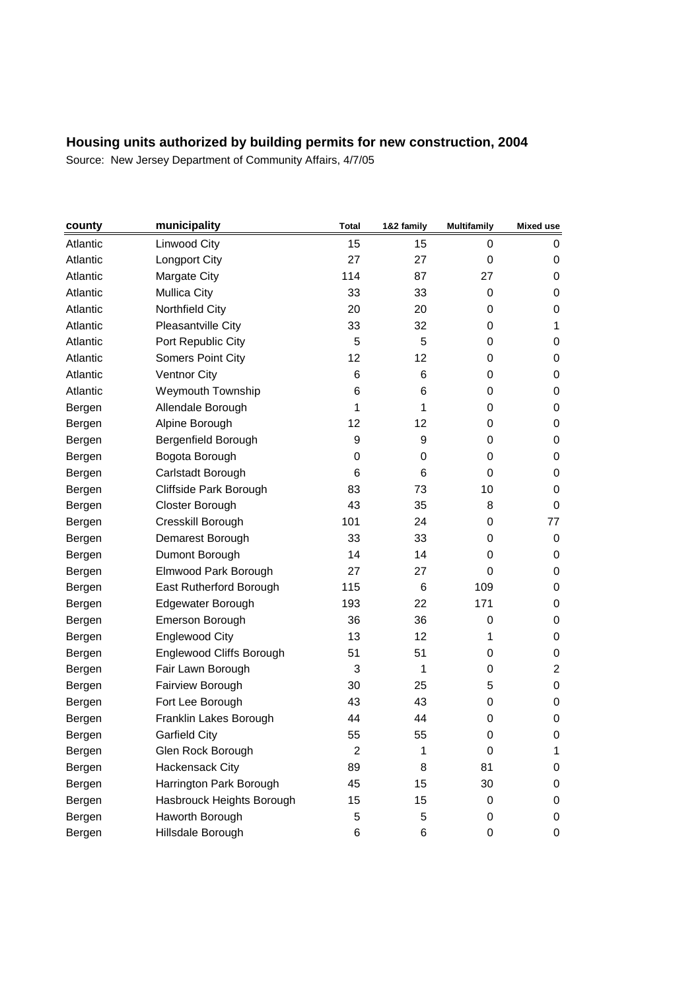| county   | municipality              | <b>Total</b>      | 1&2 family      | <b>Multifamily</b> | <b>Mixed use</b> |
|----------|---------------------------|-------------------|-----------------|--------------------|------------------|
| Atlantic | Linwood City              | 15                | 15              | 0                  | 0                |
| Atlantic | Longport City             | 27                | 27              | 0                  | 0                |
| Atlantic | Margate City              | 114               | 87              | 27                 | 0                |
| Atlantic | <b>Mullica City</b>       | 33                | 33              | 0                  | 0                |
| Atlantic | Northfield City           | 20                | 20              | 0                  | 0                |
| Atlantic | Pleasantville City        | 33                | 32              | 0                  | 1                |
| Atlantic | Port Republic City        | 5                 | 5               | 0                  | 0                |
| Atlantic | Somers Point City         | 12                | 12              | 0                  | 0                |
| Atlantic | <b>Ventnor City</b>       | 6                 | 6               | 0                  | 0                |
| Atlantic | Weymouth Township         | 6                 | 6               | 0                  | 0                |
| Bergen   | Allendale Borough         | 1                 | 1               | 0                  | 0                |
| Bergen   | Alpine Borough            | $12 \overline{ }$ | 12              | 0                  | 0                |
| Bergen   | Bergenfield Borough       | 9                 | 9               | 0                  | 0                |
| Bergen   | Bogota Borough            | 0                 | 0               | $\mathbf 0$        | 0                |
| Bergen   | Carlstadt Borough         | 6                 | 6               | 0                  | 0                |
| Bergen   | Cliffside Park Borough    | 83                | 73              | 10                 | 0                |
| Bergen   | Closter Borough           | 43                | 35              | 8                  | 0                |
| Bergen   | Cresskill Borough         | 101               | 24              | 0                  | 77               |
| Bergen   | Demarest Borough          | 33                | 33              | 0                  | 0                |
| Bergen   | Dumont Borough            | 14                | 14              | $\mathbf 0$        | 0                |
| Bergen   | Elmwood Park Borough      | 27                | 27              | $\mathbf 0$        | 0                |
| Bergen   | East Rutherford Borough   | 115               | 6               | 109                | 0                |
| Bergen   | Edgewater Borough         | 193               | 22              | 171                | 0                |
| Bergen   | Emerson Borough           | 36                | 36              | 0                  | 0                |
| Bergen   | Englewood City            | 13                | 12 <sup>2</sup> | 1                  | 0                |
| Bergen   | Englewood Cliffs Borough  | 51                | 51              | 0                  | 0                |
| Bergen   | Fair Lawn Borough         | 3                 | 1               | 0                  | $\overline{c}$   |
| Bergen   | Fairview Borough          | 30                | 25              | 5                  | 0                |
| Bergen   | Fort Lee Borough          | 43                | 43              | $\mathbf 0$        | 0                |
| Bergen   | Franklin Lakes Borough    | 44                | 44              | 0                  | 0                |
| Bergen   | <b>Garfield City</b>      | 55                | 55              | $\mathbf 0$        | 0                |
| Bergen   | Glen Rock Borough         | 2                 | 1               | 0                  | 1                |
| Bergen   | Hackensack City           | 89                | 8               | 81                 | 0                |
| Bergen   | Harrington Park Borough   | 45                | 15              | 30                 | 0                |
| Bergen   | Hasbrouck Heights Borough | 15                | 15              | 0                  | 0                |
| Bergen   | Haworth Borough           | 5                 | 5               | 0                  | 0                |
| Bergen   | Hillsdale Borough         | 6                 | 6               | 0                  | 0                |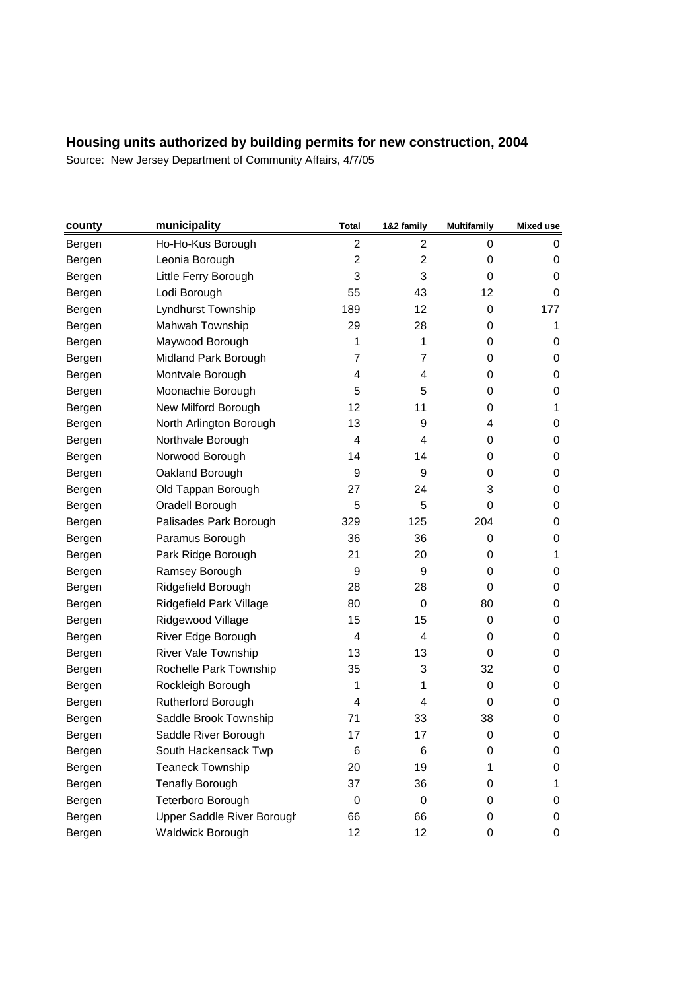| county | municipality                      | <b>Total</b>   | 1&2 family     | <b>Multifamily</b> | <b>Mixed use</b> |
|--------|-----------------------------------|----------------|----------------|--------------------|------------------|
| Bergen | Ho-Ho-Kus Borough                 | 2              | 2              | 0                  | 0                |
| Bergen | Leonia Borough                    | $\overline{c}$ | $\overline{c}$ | 0                  | 0                |
| Bergen | Little Ferry Borough              | 3              | 3              | 0                  | 0                |
| Bergen | Lodi Borough                      | 55             | 43             | $12 \overline{ }$  | 0                |
| Bergen | Lyndhurst Township                | 189            | 12             | 0                  | 177              |
| Bergen | Mahwah Township                   | 29             | 28             | 0                  | 1                |
| Bergen | Maywood Borough                   | 1              | 1              | 0                  | 0                |
| Bergen | Midland Park Borough              | $\overline{7}$ | 7              | 0                  | 0                |
| Bergen | Montvale Borough                  | 4              | 4              | 0                  | 0                |
| Bergen | Moonachie Borough                 | 5              | 5              | 0                  | 0                |
| Bergen | New Milford Borough               | 12             | 11             | 0                  | 1                |
| Bergen | North Arlington Borough           | 13             | 9              | 4                  | 0                |
| Bergen | Northvale Borough                 | 4              | 4              | 0                  | 0                |
| Bergen | Norwood Borough                   | 14             | 14             | 0                  | 0                |
| Bergen | Oakland Borough                   | 9              | 9              | 0                  | 0                |
| Bergen | Old Tappan Borough                | 27             | 24             | 3                  | 0                |
| Bergen | Oradell Borough                   | 5              | 5              | 0                  | 0                |
| Bergen | Palisades Park Borough            | 329            | 125            | 204                | 0                |
| Bergen | Paramus Borough                   | 36             | 36             | 0                  | 0                |
| Bergen | Park Ridge Borough                | 21             | 20             | 0                  | 1                |
| Bergen | Ramsey Borough                    | 9              | 9              | 0                  | 0                |
| Bergen | Ridgefield Borough                | 28             | 28             | 0                  | 0                |
| Bergen | Ridgefield Park Village           | 80             | 0              | 80                 | 0                |
| Bergen | Ridgewood Village                 | 15             | 15             | 0                  | 0                |
| Bergen | River Edge Borough                | 4              | 4              | 0                  | 0                |
| Bergen | <b>River Vale Township</b>        | 13             | 13             | 0                  | 0                |
| Bergen | Rochelle Park Township            | 35             | 3              | 32                 | 0                |
| Bergen | Rockleigh Borough                 | 1              | 1              | 0                  | 0                |
| Bergen | <b>Rutherford Borough</b>         | 4              | 4              | 0                  | 0                |
| Bergen | Saddle Brook Township             | 71             | 33             | 38                 | 0                |
| Bergen | Saddle River Borough              | 17             | 17             | 0                  | 0                |
| Bergen | South Hackensack Twp              | 6              | 6              | 0                  | 0                |
| Bergen | <b>Teaneck Township</b>           | 20             | 19             | 1                  | 0                |
| Bergen | <b>Tenafly Borough</b>            | 37             | 36             | 0                  | 1                |
| Bergen | Teterboro Borough                 | 0              | 0              | 0                  | 0                |
| Bergen | <b>Upper Saddle River Borough</b> | 66             | 66             | 0                  | 0                |
| Bergen | Waldwick Borough                  | 12             | 12             | 0                  | 0                |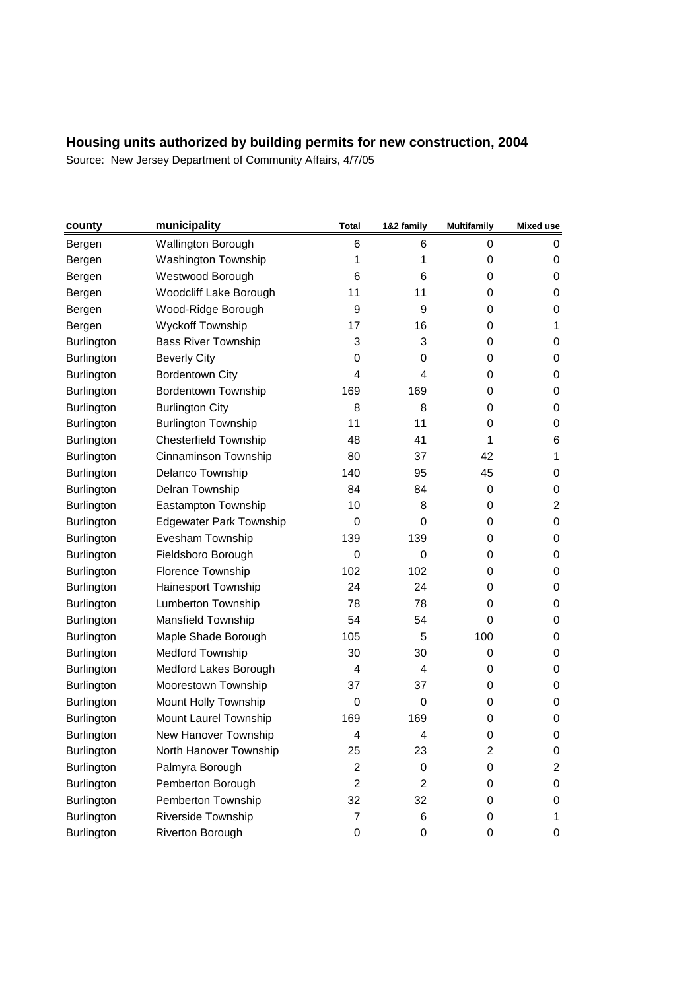| county            | municipality                   | <b>Total</b>   | 1&2 family     | <b>Multifamily</b> | <b>Mixed use</b> |
|-------------------|--------------------------------|----------------|----------------|--------------------|------------------|
| Bergen            | Wallington Borough             | 6              | 6              | 0                  | 0                |
| Bergen            | Washington Township            | 1              | 1              | 0                  | 0                |
| Bergen            | Westwood Borough               | 6              | 6              | 0                  | 0                |
| Bergen            | Woodcliff Lake Borough         | 11             | 11             | 0                  | 0                |
| Bergen            | Wood-Ridge Borough             | 9              | 9              | 0                  | 0                |
| Bergen            | <b>Wyckoff Township</b>        | 17             | 16             | $\mathbf 0$        | 1                |
| Burlington        | <b>Bass River Township</b>     | 3              | 3              | 0                  | 0                |
| <b>Burlington</b> | <b>Beverly City</b>            | 0              | 0              | $\mathbf 0$        | 0                |
| <b>Burlington</b> | <b>Bordentown City</b>         | 4              | 4              | $\mathbf 0$        | 0                |
| <b>Burlington</b> | <b>Bordentown Township</b>     | 169            | 169            | 0                  | 0                |
| <b>Burlington</b> | <b>Burlington City</b>         | 8              | 8              | $\mathbf 0$        | 0                |
| <b>Burlington</b> | <b>Burlington Township</b>     | 11             | 11             | $\mathbf 0$        | 0                |
| <b>Burlington</b> | <b>Chesterfield Township</b>   | 48             | 41             | 1                  | 6                |
| <b>Burlington</b> | Cinnaminson Township           | 80             | 37             | 42                 | 1                |
| <b>Burlington</b> | Delanco Township               | 140            | 95             | 45                 | 0                |
| Burlington        | Delran Township                | 84             | 84             | 0                  | 0                |
| <b>Burlington</b> | Eastampton Township            | 10             | 8              | 0                  | $\overline{2}$   |
| <b>Burlington</b> | <b>Edgewater Park Township</b> | 0              | 0              | 0                  | 0                |
| <b>Burlington</b> | Evesham Township               | 139            | 139            | 0                  | 0                |
| <b>Burlington</b> | Fieldsboro Borough             | 0              | 0              | $\mathbf 0$        | 0                |
| <b>Burlington</b> | Florence Township              | 102            | 102            | 0                  | 0                |
| Burlington        | Hainesport Township            | 24             | 24             | $\mathbf 0$        | 0                |
| <b>Burlington</b> | <b>Lumberton Township</b>      | 78             | 78             | $\mathbf 0$        | 0                |
| <b>Burlington</b> | <b>Mansfield Township</b>      | 54             | 54             | 0                  | 0                |
| Burlington        | Maple Shade Borough            | 105            | 5              | 100                | 0                |
| Burlington        | Medford Township               | 30             | 30             | 0                  | 0                |
| <b>Burlington</b> | Medford Lakes Borough          | 4              | 4              | 0                  | 0                |
| Burlington        | Moorestown Township            | 37             | 37             | 0                  | 0                |
| <b>Burlington</b> | Mount Holly Township           | 0              | 0              | 0                  | 0                |
| <b>Burlington</b> | Mount Laurel Township          | 169            | 169            | 0                  | 0                |
| Burlington        | New Hanover Township           | 4              | 4              | $\mathbf 0$        | 0                |
| Burlington        | North Hanover Township         | 25             | 23             | 2                  | 0                |
| Burlington        | Palmyra Borough                | $\overline{c}$ | 0              | $\boldsymbol{0}$   | $\overline{c}$   |
| Burlington        | Pemberton Borough              | $\overline{c}$ | $\overline{2}$ | 0                  | 0                |
| Burlington        | Pemberton Township             | 32             | 32             | 0                  | 0                |
| Burlington        | Riverside Township             | $\overline{7}$ | 6              | 0                  | 1                |
| Burlington        | Riverton Borough               | 0              | 0              | 0                  | 0                |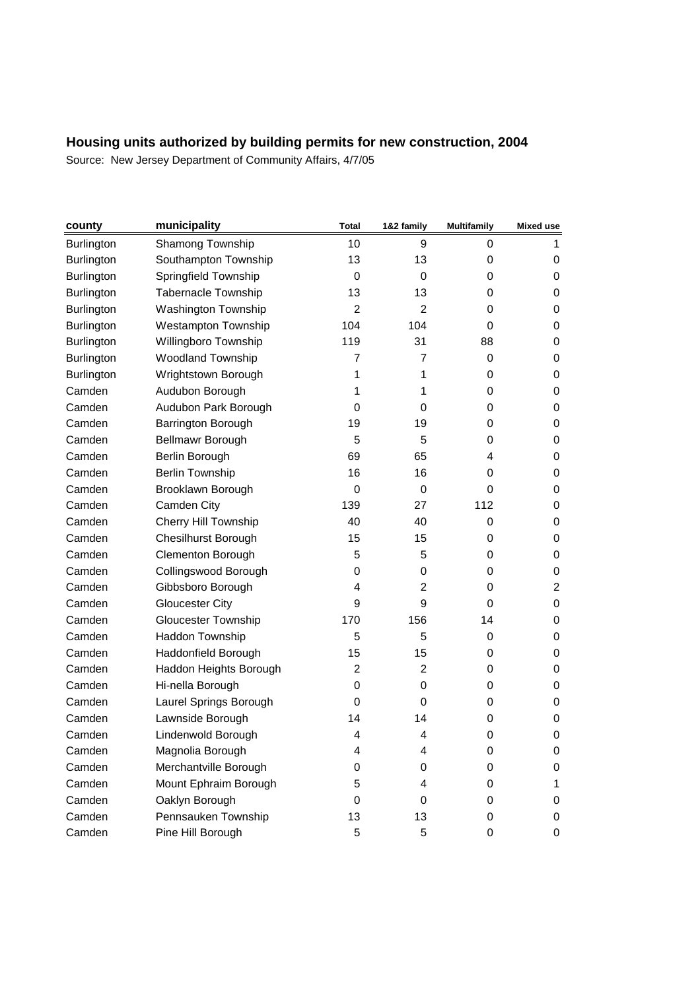| county            | municipality                | <b>Total</b>   | 1&2 family  | <b>Multifamily</b> | <b>Mixed use</b> |
|-------------------|-----------------------------|----------------|-------------|--------------------|------------------|
| <b>Burlington</b> | Shamong Township            | 10             | 9           | 0                  | 1                |
| <b>Burlington</b> | Southampton Township        | 13             | 13          | 0                  | 0                |
| Burlington        | Springfield Township        | 0              | 0           | 0                  | 0                |
| <b>Burlington</b> | Tabernacle Township         | 13             | 13          | 0                  | 0                |
| Burlington        | Washington Township         | 2              | 2           | 0                  | 0                |
| <b>Burlington</b> | <b>Westampton Township</b>  | 104            | 104         | 0                  | 0                |
| Burlington        | Willingboro Township        | 119            | 31          | 88                 | 0                |
| Burlington        | <b>Woodland Township</b>    | 7              | 7           | 0                  | 0                |
| Burlington        | Wrightstown Borough         | 1              | 1           | 0                  | 0                |
| Camden            | Audubon Borough             | 1              | 1           | 0                  | 0                |
| Camden            | Audubon Park Borough        | 0              | 0           | 0                  | 0                |
| Camden            | Barrington Borough          | 19             | 19          | 0                  | 0                |
| Camden            | Bellmawr Borough            | 5              | 5           | 0                  | 0                |
| Camden            | Berlin Borough              | 69             | 65          | 4                  | 0                |
| Camden            | <b>Berlin Township</b>      | 16             | 16          | 0                  | 0                |
| Camden            | Brooklawn Borough           | 0              | $\mathbf 0$ | 0                  | 0                |
| Camden            | Camden City                 | 139            | 27          | 112                | 0                |
| Camden            | <b>Cherry Hill Township</b> | 40             | 40          | 0                  | 0                |
| Camden            | Chesilhurst Borough         | 15             | 15          | 0                  | 0                |
| Camden            | Clementon Borough           | 5              | 5           | 0                  | 0                |
| Camden            | Collingswood Borough        | 0              | 0           | 0                  | 0                |
| Camden            | Gibbsboro Borough           | 4              | 2           | 0                  | 2                |
| Camden            | <b>Gloucester City</b>      | 9              | 9           | 0                  | 0                |
| Camden            | <b>Gloucester Township</b>  | 170            | 156         | 14                 | 0                |
| Camden            | Haddon Township             | 5              | 5           | 0                  | 0                |
| Camden            | Haddonfield Borough         | 15             | 15          | 0                  | 0                |
| Camden            | Haddon Heights Borough      | 2              | 2           | 0                  | 0                |
| Camden            | Hi-nella Borough            | 0              | 0           | 0                  | 0                |
| Camden            | Laurel Springs Borough      | 0              | 0           | 0                  | 0                |
| Camden            | Lawnside Borough            | 14             | 14          | 0                  | 0                |
| Camden            | Lindenwold Borough          | $\overline{4}$ | 4           | $\mathbf 0$        | 0                |
| Camden            | Magnolia Borough            | 4              | 4           | 0                  | 0                |
| Camden            | Merchantville Borough       | 0              | 0           | 0                  | 0                |
| Camden            | Mount Ephraim Borough       | 5              | 4           | 0                  | 1                |
| Camden            | Oaklyn Borough              | 0              | 0           | 0                  | 0                |
| Camden            | Pennsauken Township         | 13             | 13          | 0                  | 0                |
| Camden            | Pine Hill Borough           | 5              | 5           | 0                  | 0                |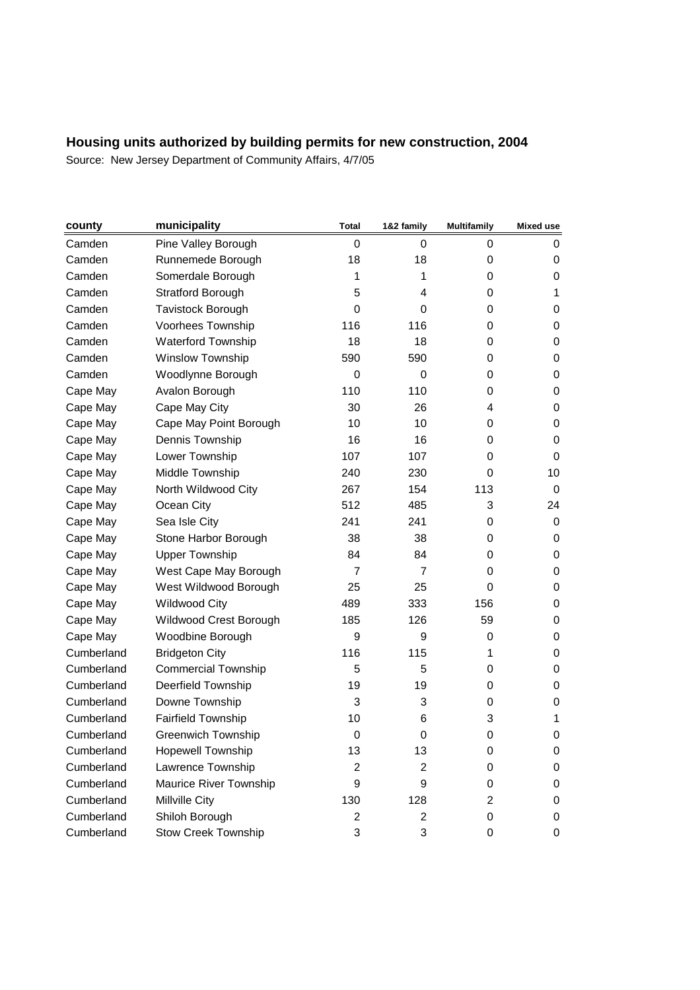| county     | municipality               | <b>Total</b>   | 1&2 family     | <b>Multifamily</b> | <b>Mixed use</b> |
|------------|----------------------------|----------------|----------------|--------------------|------------------|
| Camden     | Pine Valley Borough        | 0              | 0              | 0                  | 0                |
| Camden     | Runnemede Borough          | 18             | 18             | 0                  | 0                |
| Camden     | Somerdale Borough          | 1              | 1              | 0                  | 0                |
| Camden     | <b>Stratford Borough</b>   | 5              | 4              | 0                  | 1                |
| Camden     | Tavistock Borough          | 0              | 0              | 0                  | 0                |
| Camden     | Voorhees Township          | 116            | 116            | 0                  | 0                |
| Camden     | <b>Waterford Township</b>  | 18             | 18             | 0                  | 0                |
| Camden     | Winslow Township           | 590            | 590            | 0                  | 0                |
| Camden     | Woodlynne Borough          | 0              | 0              | 0                  | 0                |
| Cape May   | Avalon Borough             | 110            | 110            | 0                  | 0                |
| Cape May   | Cape May City              | 30             | 26             | 4                  | 0                |
| Cape May   | Cape May Point Borough     | 10             | 10             | 0                  | 0                |
| Cape May   | Dennis Township            | 16             | 16             | 0                  | 0                |
| Cape May   | Lower Township             | 107            | 107            | 0                  | 0                |
| Cape May   | Middle Township            | 240            | 230            | 0                  | 10               |
| Cape May   | North Wildwood City        | 267            | 154            | 113                | 0                |
| Cape May   | Ocean City                 | 512            | 485            | 3                  | 24               |
| Cape May   | Sea Isle City              | 241            | 241            | 0                  | 0                |
| Cape May   | Stone Harbor Borough       | 38             | 38             | 0                  | 0                |
| Cape May   | <b>Upper Township</b>      | 84             | 84             | 0                  | 0                |
| Cape May   | West Cape May Borough      | 7              | $\overline{7}$ | 0                  | 0                |
| Cape May   | West Wildwood Borough      | 25             | 25             | 0                  | 0                |
| Cape May   | <b>Wildwood City</b>       | 489            | 333            | 156                | 0                |
| Cape May   | Wildwood Crest Borough     | 185            | 126            | 59                 | 0                |
| Cape May   | Woodbine Borough           | 9              | 9              | 0                  | 0                |
| Cumberland | <b>Bridgeton City</b>      | 116            | 115            | 1                  | 0                |
| Cumberland | <b>Commercial Township</b> | 5              | 5              | 0                  | 0                |
| Cumberland | Deerfield Township         | 19             | 19             | 0                  | 0                |
| Cumberland | Downe Township             | 3              | 3              | 0                  | 0                |
| Cumberland | <b>Fairfield Township</b>  | 10             | 6              | 3                  | 1                |
| Cumberland | <b>Greenwich Township</b>  | 0              | 0              | $\mathbf 0$        | 0                |
| Cumberland | Hopewell Township          | 13             | 13             | 0                  | 0                |
| Cumberland | Lawrence Township          | 2              | $\overline{2}$ | 0                  | 0                |
| Cumberland | Maurice River Township     | 9              | 9              | $\mathbf 0$        | 0                |
| Cumberland | Millville City             | 130            | 128            | $\overline{2}$     | 0                |
| Cumberland | Shiloh Borough             | $\overline{2}$ | $\overline{2}$ | 0                  | 0                |
| Cumberland | <b>Stow Creek Township</b> | 3              | 3              | 0                  | 0                |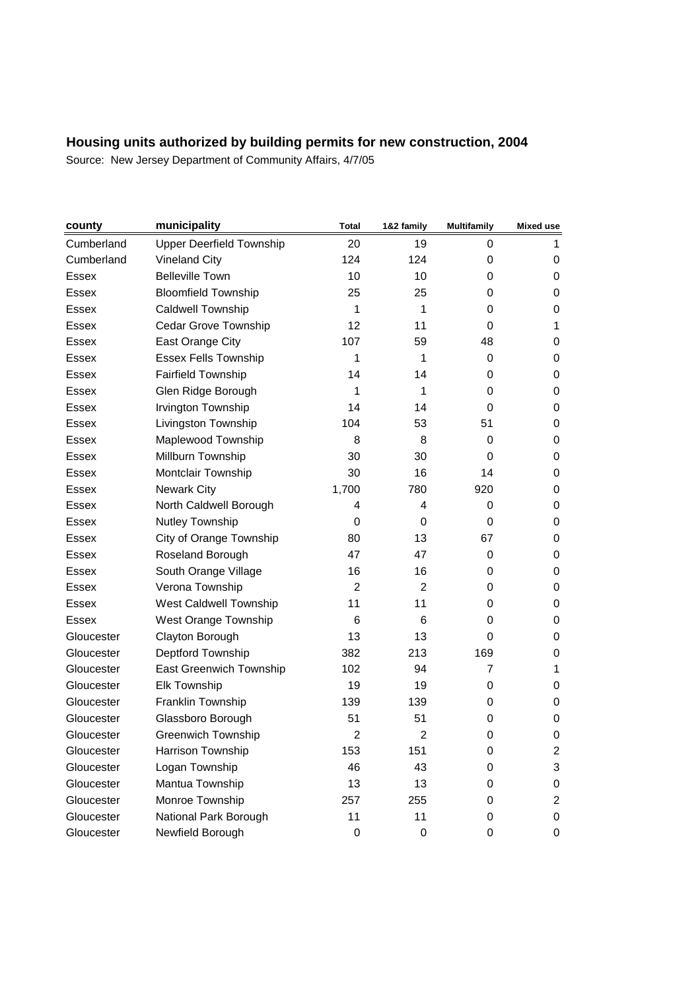| county       | municipality                    | <b>Total</b>   | 1&2 family | <b>Multifamily</b> | <b>Mixed use</b> |
|--------------|---------------------------------|----------------|------------|--------------------|------------------|
| Cumberland   | <b>Upper Deerfield Township</b> | 20             | 19         | 0                  | 1                |
| Cumberland   | <b>Vineland City</b>            | 124            | 124        | 0                  | 0                |
| <b>Essex</b> | <b>Belleville Town</b>          | 10             | 10         | 0                  | 0                |
| <b>Essex</b> | <b>Bloomfield Township</b>      | 25             | 25         | 0                  | 0                |
| Essex        | Caldwell Township               | 1              | 1          | 0                  | 0                |
| <b>Essex</b> | Cedar Grove Township            | 12             | 11         | 0                  | 1                |
| <b>Essex</b> | East Orange City                | 107            | 59         | 48                 | 0                |
| Essex        | <b>Essex Fells Township</b>     | 1              | 1          | 0                  | 0                |
| <b>Essex</b> | Fairfield Township              | 14             | 14         | 0                  | 0                |
| Essex        | Glen Ridge Borough              | 1              | 1          | $\mathbf 0$        | 0                |
| Essex        | Irvington Township              | 14             | 14         | $\mathbf 0$        | 0                |
| <b>Essex</b> | Livingston Township             | 104            | 53         | 51                 | 0                |
| Essex        | Maplewood Township              | 8              | 8          | 0                  | 0                |
| <b>Essex</b> | Millburn Township               | 30             | 30         | $\mathbf 0$        | 0                |
| <b>Essex</b> | Montclair Township              | 30             | 16         | 14                 | 0                |
| Essex        | <b>Newark City</b>              | 1,700          | 780        | 920                | 0                |
| <b>Essex</b> | North Caldwell Borough          | 4              | 4          | 0                  | 0                |
| <b>Essex</b> | Nutley Township                 | 0              | 0          | 0                  | 0                |
| <b>Essex</b> | City of Orange Township         | 80             | 13         | 67                 | 0                |
| Essex        | Roseland Borough                | 47             | 47         | 0                  | 0                |
| <b>Essex</b> | South Orange Village            | 16             | 16         | 0                  | 0                |
| <b>Essex</b> | Verona Township                 | 2              | 2          | 0                  | 0                |
| Essex        | West Caldwell Township          | 11             | 11         | 0                  | 0                |
| <b>Essex</b> | West Orange Township            | 6              | 6          | $\mathbf 0$        | 0                |
| Gloucester   | Clayton Borough                 | 13             | 13         | 0                  | 0                |
| Gloucester   | Deptford Township               | 382            | 213        | 169                | 0                |
| Gloucester   | East Greenwich Township         | 102            | 94         | $\overline{7}$     | 1                |
| Gloucester   | Elk Township                    | 19             | 19         | 0                  | 0                |
| Gloucester   | Franklin Township               | 139            | 139        | 0                  | 0                |
| Gloucester   | Glassboro Borough               | 51             | 51         | 0                  | 0                |
| Gloucester   | <b>Greenwich Township</b>       | $\overline{2}$ | 2          | $\mathbf 0$        | 0                |
| Gloucester   | Harrison Township               | 153            | 151        | 0                  | 2                |
| Gloucester   | Logan Township                  | 46             | 43         | 0                  | 3                |
| Gloucester   | Mantua Township                 | 13             | 13         | 0                  | 0                |
| Gloucester   | Monroe Township                 | 257            | 255        | 0                  | 2                |
| Gloucester   | National Park Borough           | 11             | 11         | 0                  | 0                |
| Gloucester   | Newfield Borough                | 0              | 0          | 0                  | 0                |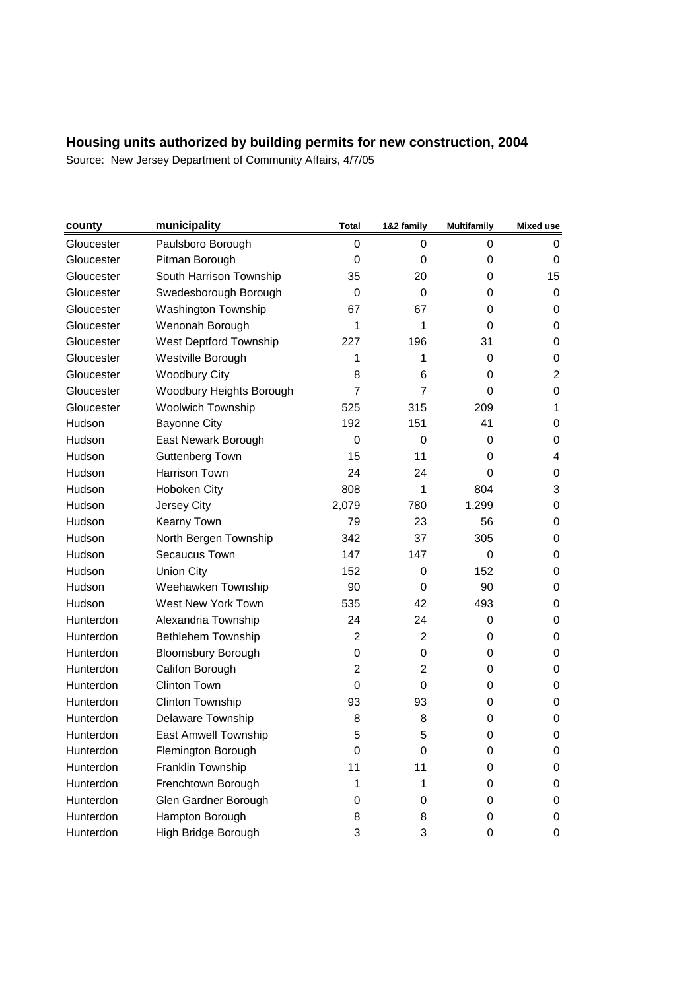| county     | municipality                  | <b>Total</b>   | 1&2 family | <b>Multifamily</b> | <b>Mixed use</b> |
|------------|-------------------------------|----------------|------------|--------------------|------------------|
| Gloucester | Paulsboro Borough             | 0              | 0          | 0                  | 0                |
| Gloucester | Pitman Borough                | 0              | 0          | 0                  | 0                |
| Gloucester | South Harrison Township       | 35             | 20         | 0                  | 15               |
| Gloucester | Swedesborough Borough         | 0              | 0          | 0                  | 0                |
| Gloucester | <b>Washington Township</b>    | 67             | 67         | 0                  | 0                |
| Gloucester | Wenonah Borough               | 1              | 1          | 0                  | 0                |
| Gloucester | <b>West Deptford Township</b> | 227            | 196        | 31                 | 0                |
| Gloucester | Westville Borough             | 1              | 1          | 0                  | 0                |
| Gloucester | <b>Woodbury City</b>          | 8              | 6          | 0                  | $\overline{c}$   |
| Gloucester | Woodbury Heights Borough      | 7              | 7          | 0                  | 0                |
| Gloucester | Woolwich Township             | 525            | 315        | 209                | 1                |
| Hudson     | <b>Bayonne City</b>           | 192            | 151        | 41                 | 0                |
| Hudson     | East Newark Borough           | 0              | 0          | 0                  | 0                |
| Hudson     | <b>Guttenberg Town</b>        | 15             | 11         | 0                  | 4                |
| Hudson     | Harrison Town                 | 24             | 24         | 0                  | 0                |
| Hudson     | Hoboken City                  | 808            | 1          | 804                | 3                |
| Hudson     | Jersey City                   | 2,079          | 780        | 1,299              | 0                |
| Hudson     | Kearny Town                   | 79             | 23         | 56                 | 0                |
| Hudson     | North Bergen Township         | 342            | 37         | 305                | 0                |
| Hudson     | Secaucus Town                 | 147            | 147        | 0                  | 0                |
| Hudson     | <b>Union City</b>             | 152            | 0          | 152                | 0                |
| Hudson     | Weehawken Township            | 90             | 0          | 90                 | 0                |
| Hudson     | West New York Town            | 535            | 42         | 493                | 0                |
| Hunterdon  | Alexandria Township           | 24             | 24         | 0                  | 0                |
| Hunterdon  | <b>Bethlehem Township</b>     | 2              | 2          | 0                  | 0                |
| Hunterdon  | <b>Bloomsbury Borough</b>     | 0              | 0          | 0                  | 0                |
| Hunterdon  | Califon Borough               | $\overline{2}$ | 2          | 0                  | 0                |
| Hunterdon  | <b>Clinton Town</b>           | 0              | 0          | 0                  | 0                |
| Hunterdon  | Clinton Township              | 93             | 93         | 0                  | 0                |
| Hunterdon  | Delaware Township             | 8              | 8          | 0                  | 0                |
| Hunterdon  | East Amwell Township          | 5              | 5          | $\mathbf 0$        | 0                |
| Hunterdon  | Flemington Borough            | 0              | 0          | 0                  | 0                |
| Hunterdon  | Franklin Township             | 11             | 11         | 0                  | 0                |
| Hunterdon  | Frenchtown Borough            | 1              | 1          | 0                  | 0                |
| Hunterdon  | Glen Gardner Borough          | 0              | 0          | 0                  | 0                |
| Hunterdon  | Hampton Borough               | 8              | 8          | 0                  | 0                |
| Hunterdon  | High Bridge Borough           | 3              | 3          | 0                  | 0                |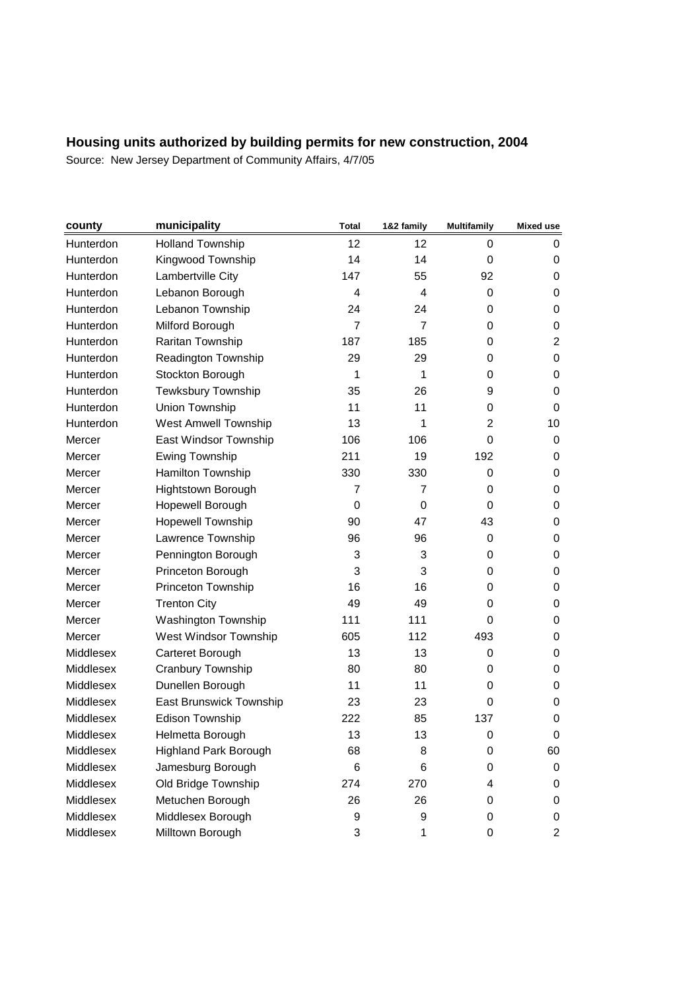| county    | municipality                | <b>Total</b>   | 1&2 family     | <b>Multifamily</b> | <b>Mixed use</b> |
|-----------|-----------------------------|----------------|----------------|--------------------|------------------|
| Hunterdon | <b>Holland Township</b>     | 12             | 12             | 0                  | 0                |
| Hunterdon | Kingwood Township           | 14             | 14             | 0                  | 0                |
| Hunterdon | Lambertville City           | 147            | 55             | 92                 | 0                |
| Hunterdon | Lebanon Borough             | 4              | 4              | 0                  | 0                |
| Hunterdon | Lebanon Township            | 24             | 24             | 0                  | 0                |
| Hunterdon | Milford Borough             | $\overline{7}$ | $\overline{7}$ | 0                  | 0                |
| Hunterdon | Raritan Township            | 187            | 185            | 0                  | $\overline{2}$   |
| Hunterdon | Readington Township         | 29             | 29             | 0                  | 0                |
| Hunterdon | Stockton Borough            | 1              | 1              | 0                  | 0                |
| Hunterdon | <b>Tewksbury Township</b>   | 35             | 26             | 9                  | 0                |
| Hunterdon | Union Township              | 11             | 11             | 0                  | 0                |
| Hunterdon | <b>West Amwell Township</b> | 13             | 1              | 2                  | 10               |
| Mercer    | East Windsor Township       | 106            | 106            | $\Omega$           | 0                |
| Mercer    | Ewing Township              | 211            | 19             | 192                | 0                |
| Mercer    | Hamilton Township           | 330            | 330            | 0                  | 0                |
| Mercer    | Hightstown Borough          | $\overline{7}$ | $\overline{7}$ | 0                  | 0                |
| Mercer    | Hopewell Borough            | 0              | 0              | 0                  | 0                |
| Mercer    | <b>Hopewell Township</b>    | 90             | 47             | 43                 | 0                |
| Mercer    | Lawrence Township           | 96             | 96             | 0                  | 0                |
| Mercer    | Pennington Borough          | 3              | 3              | 0                  | 0                |
| Mercer    | Princeton Borough           | 3              | 3              | 0                  | 0                |
| Mercer    | Princeton Township          | 16             | 16             | 0                  | 0                |
| Mercer    | <b>Trenton City</b>         | 49             | 49             | 0                  | 0                |
| Mercer    | Washington Township         | 111            | 111            | 0                  | 0                |
| Mercer    | West Windsor Township       | 605            | 112            | 493                | 0                |
| Middlesex | Carteret Borough            | 13             | 13             | 0                  | 0                |
| Middlesex | Cranbury Township           | 80             | 80             | 0                  | 0                |
| Middlesex | Dunellen Borough            | 11             | 11             | 0                  | 0                |
| Middlesex | East Brunswick Township     | 23             | 23             | 0                  | 0                |
| Middlesex | Edison Township             | 222            | 85             | 137                | 0                |
| Middlesex | Helmetta Borough            | 13             | 13             | $\mathbf 0$        | 0                |
| Middlesex | Highland Park Borough       | 68             | 8              | 0                  | 60               |
| Middlesex | Jamesburg Borough           | 6              | 6              | 0                  | 0                |
| Middlesex | Old Bridge Township         | 274            | 270            | 4                  | 0                |
| Middlesex | Metuchen Borough            | 26             | 26             | 0                  | 0                |
| Middlesex | Middlesex Borough           | 9              | 9              | 0                  | 0                |
| Middlesex | Milltown Borough            | 3              | 1              | 0                  | $\overline{2}$   |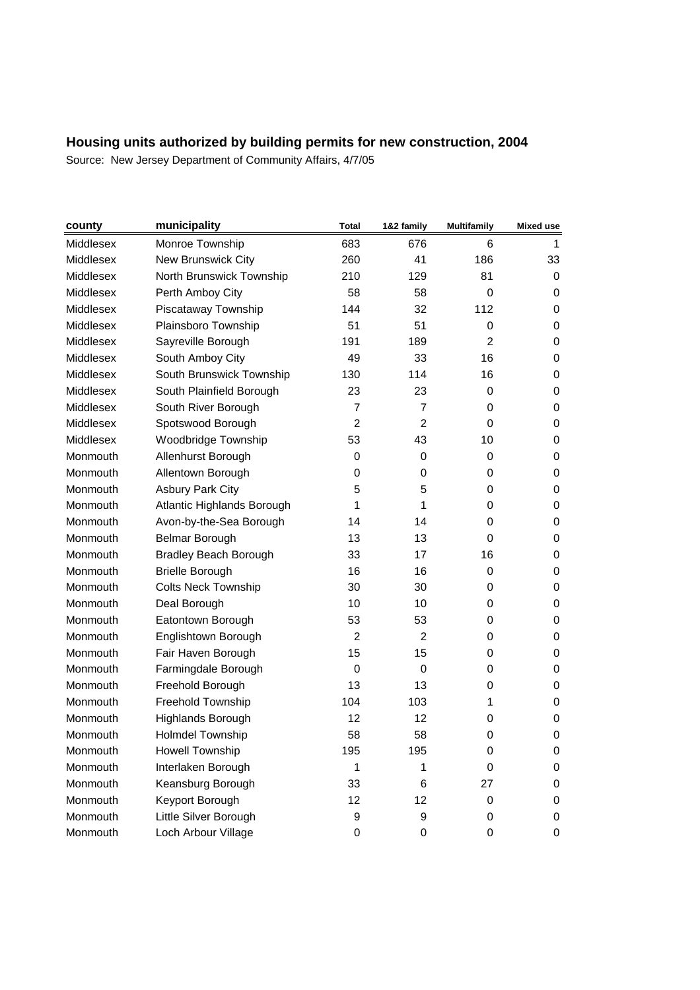| county    | municipality                 | Total            | 1&2 family     | <b>Multifamily</b> | <b>Mixed use</b> |
|-----------|------------------------------|------------------|----------------|--------------------|------------------|
| Middlesex | Monroe Township              | 683              | 676            | 6                  | 1                |
| Middlesex | New Brunswick City           | 260              | 41             | 186                | 33               |
| Middlesex | North Brunswick Township     | 210              | 129            | 81                 | 0                |
| Middlesex | Perth Amboy City             | 58               | 58             | 0                  | 0                |
| Middlesex | Piscataway Township          | 144              | 32             | 112                | 0                |
| Middlesex | Plainsboro Township          | 51               | 51             | 0                  | 0                |
| Middlesex | Sayreville Borough           | 191              | 189            | $\overline{2}$     | 0                |
| Middlesex | South Amboy City             | 49               | 33             | 16                 | 0                |
| Middlesex | South Brunswick Township     | 130              | 114            | 16                 | 0                |
| Middlesex | South Plainfield Borough     | 23               | 23             | 0                  | 0                |
| Middlesex | South River Borough          | $\overline{7}$   | $\overline{7}$ | 0                  | 0                |
| Middlesex | Spotswood Borough            | 2                | $\overline{2}$ | 0                  | 0                |
| Middlesex | Woodbridge Township          | 53               | 43             | 10                 | 0                |
| Monmouth  | Allenhurst Borough           | 0                | 0              | 0                  | 0                |
| Monmouth  | Allentown Borough            | 0                | 0              | 0                  | 0                |
| Monmouth  | <b>Asbury Park City</b>      | 5                | 5              | 0                  | 0                |
| Monmouth  | Atlantic Highlands Borough   | 1                | 1              | 0                  | 0                |
| Monmouth  | Avon-by-the-Sea Borough      | 14               | 14             | 0                  | 0                |
| Monmouth  | <b>Belmar Borough</b>        | 13               | 13             | 0                  | 0                |
| Monmouth  | <b>Bradley Beach Borough</b> | 33               | 17             | 16                 | 0                |
| Monmouth  | <b>Brielle Borough</b>       | 16               | 16             | 0                  | 0                |
| Monmouth  | <b>Colts Neck Township</b>   | 30               | 30             | 0                  | 0                |
| Monmouth  | Deal Borough                 | 10               | 10             | 0                  | 0                |
| Monmouth  | Eatontown Borough            | 53               | 53             | 0                  | 0                |
| Monmouth  | Englishtown Borough          | 2                | 2              | 0                  | 0                |
| Monmouth  | Fair Haven Borough           | 15               | 15             | 0                  | 0                |
| Monmouth  | Farmingdale Borough          | 0                | 0              | 0                  | 0                |
| Monmouth  | Freehold Borough             | 13               | 13             | 0                  | 0                |
| Monmouth  | Freehold Township            | 104              | 103            | 1                  | 0                |
| Monmouth  | Highlands Borough            | 12               | 12             | 0                  | 0                |
| Monmouth  | <b>Holmdel Township</b>      | 58               | 58             | $\mathbf 0$        | 0                |
| Monmouth  | <b>Howell Township</b>       | 195              | 195            | 0                  | 0                |
| Monmouth  | Interlaken Borough           | 1                | 1              | 0                  | 0                |
| Monmouth  | Keansburg Borough            | 33               | 6              | 27                 | 0                |
| Monmouth  | Keyport Borough              | 12               | 12             | 0                  | 0                |
| Monmouth  | Little Silver Borough        | $\boldsymbol{9}$ | 9              | 0                  | 0                |
| Monmouth  | Loch Arbour Village          | 0                | 0              | 0                  | 0                |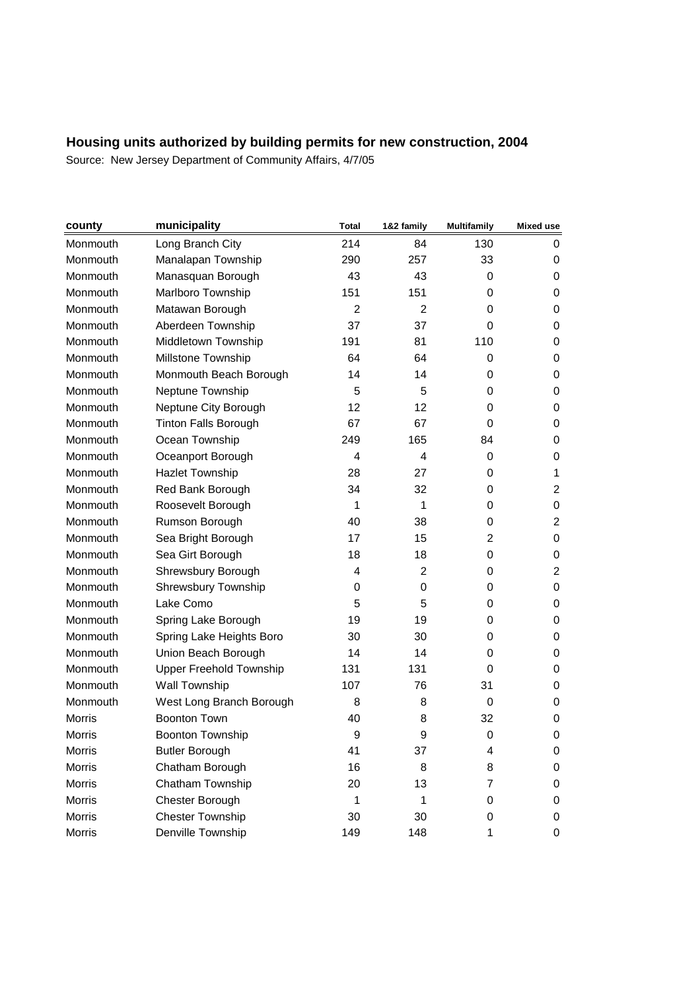| county        | municipality                   | Total          | 1&2 family | <b>Multifamily</b> | <b>Mixed use</b> |
|---------------|--------------------------------|----------------|------------|--------------------|------------------|
| Monmouth      | Long Branch City               | 214            | 84         | 130                | 0                |
| Monmouth      | Manalapan Township             | 290            | 257        | 33                 | 0                |
| Monmouth      | Manasquan Borough              | 43             | 43         | 0                  | 0                |
| Monmouth      | Marlboro Township              | 151            | 151        | 0                  | 0                |
| Monmouth      | Matawan Borough                | $\mathfrak{p}$ | 2          | 0                  | 0                |
| Monmouth      | Aberdeen Township              | 37             | 37         | 0                  | 0                |
| Monmouth      | Middletown Township            | 191            | 81         | 110                | 0                |
| Monmouth      | Millstone Township             | 64             | 64         | 0                  | 0                |
| Monmouth      | Monmouth Beach Borough         | 14             | 14         | 0                  | 0                |
| Monmouth      | Neptune Township               | 5              | 5          | 0                  | 0                |
| Monmouth      | Neptune City Borough           | 12             | 12         | 0                  | 0                |
| Monmouth      | <b>Tinton Falls Borough</b>    | 67             | 67         | 0                  | 0                |
| Monmouth      | Ocean Township                 | 249            | 165        | 84                 | 0                |
| Monmouth      | Oceanport Borough              | 4              | 4          | 0                  | 0                |
| Monmouth      | Hazlet Township                | 28             | 27         | 0                  | 1                |
| Monmouth      | Red Bank Borough               | 34             | 32         | 0                  | $\overline{c}$   |
| Monmouth      | Roosevelt Borough              | 1              | 1          | 0                  | 0                |
| Monmouth      | Rumson Borough                 | 40             | 38         | 0                  | $\overline{c}$   |
| Monmouth      | Sea Bright Borough             | 17             | 15         | 2                  | 0                |
| Monmouth      | Sea Girt Borough               | 18             | 18         | 0                  | 0                |
| Monmouth      | Shrewsbury Borough             | 4              | 2          | 0                  | $\overline{c}$   |
| Monmouth      | Shrewsbury Township            | 0              | 0          | 0                  | 0                |
| Monmouth      | Lake Como                      | 5              | 5          | 0                  | 0                |
| Monmouth      | Spring Lake Borough            | 19             | 19         | 0                  | 0                |
| Monmouth      | Spring Lake Heights Boro       | 30             | 30         | 0                  | 0                |
| Monmouth      | Union Beach Borough            | 14             | 14         | 0                  | 0                |
| Monmouth      | <b>Upper Freehold Township</b> | 131            | 131        | 0                  | 0                |
| Monmouth      | Wall Township                  | 107            | 76         | 31                 | 0                |
| Monmouth      | West Long Branch Borough       | 8              | 8          | 0                  | 0                |
| <b>Morris</b> | <b>Boonton Town</b>            | 40             | 8          | 32                 | 0                |
| Morris        | <b>Boonton Township</b>        | 9              | 9          | 0                  | 0                |
| Morris        | <b>Butler Borough</b>          | 41             | 37         | 4                  | 0                |
| Morris        | Chatham Borough                | 16             | 8          | 8                  | 0                |
| Morris        | Chatham Township               | 20             | 13         | $\overline{7}$     | 0                |
| Morris        | Chester Borough                | 1              | 1          | 0                  | 0                |
| Morris        | <b>Chester Township</b>        | 30             | 30         | 0                  | 0                |
| Morris        | Denville Township              | 149            | 148        | 1                  | 0                |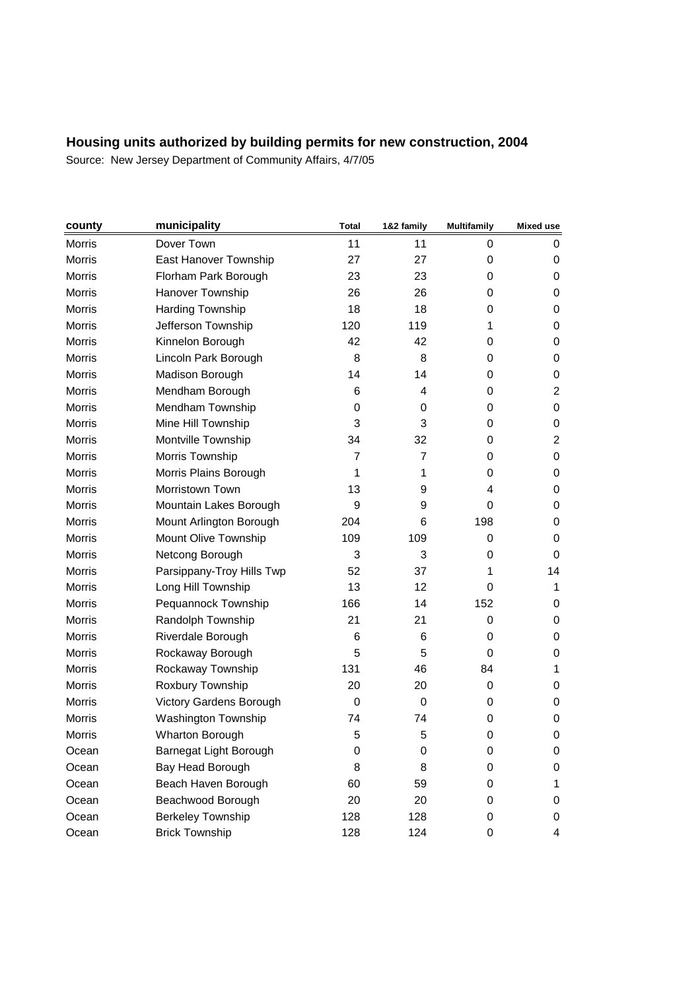| county        | municipality              | <b>Total</b>   | 1&2 family     | <b>Multifamily</b> | <b>Mixed use</b> |
|---------------|---------------------------|----------------|----------------|--------------------|------------------|
| <b>Morris</b> | Dover Town                | 11             | 11             | 0                  | 0                |
| Morris        | East Hanover Township     | 27             | 27             | 0                  | 0                |
| Morris        | Florham Park Borough      | 23             | 23             | 0                  | 0                |
| <b>Morris</b> | Hanover Township          | 26             | 26             | 0                  | 0                |
| <b>Morris</b> | Harding Township          | 18             | 18             | 0                  | 0                |
| Morris        | Jefferson Township        | 120            | 119            | 1                  | 0                |
| Morris        | Kinnelon Borough          | 42             | 42             | 0                  | 0                |
| Morris        | Lincoln Park Borough      | 8              | 8              | 0                  | 0                |
| <b>Morris</b> | Madison Borough           | 14             | 14             | 0                  | 0                |
| Morris        | Mendham Borough           | 6              | 4              | 0                  | $\overline{c}$   |
| Morris        | Mendham Township          | 0              | 0              | 0                  | 0                |
| <b>Morris</b> | Mine Hill Township        | 3              | 3              | 0                  | 0                |
| <b>Morris</b> | Montville Township        | 34             | 32             | 0                  | $\overline{2}$   |
| <b>Morris</b> | Morris Township           | $\overline{7}$ | $\overline{7}$ | 0                  | 0                |
| <b>Morris</b> | Morris Plains Borough     | 1              | 1              | 0                  | 0                |
| <b>Morris</b> | Morristown Town           | 13             | 9              | 4                  | 0                |
| <b>Morris</b> | Mountain Lakes Borough    | 9              | 9              | 0                  | 0                |
| Morris        | Mount Arlington Borough   | 204            | 6              | 198                | 0                |
| <b>Morris</b> | Mount Olive Township      | 109            | 109            | 0                  | 0                |
| <b>Morris</b> | Netcong Borough           | 3              | 3              | $\mathbf 0$        | 0                |
| <b>Morris</b> | Parsippany-Troy Hills Twp | 52             | 37             | 1                  | 14               |
| <b>Morris</b> | Long Hill Township        | 13             | 12             | 0                  | 1                |
| <b>Morris</b> | Pequannock Township       | 166            | 14             | 152                | 0                |
| <b>Morris</b> | Randolph Township         | 21             | 21             | 0                  | 0                |
| <b>Morris</b> | Riverdale Borough         | 6              | 6              | 0                  | 0                |
| Morris        | Rockaway Borough          | 5              | 5              | 0                  | 0                |
| Morris        | Rockaway Township         | 131            | 46             | 84                 | 1                |
| Morris        | Roxbury Township          | 20             | 20             | 0                  | 0                |
| Morris        | Victory Gardens Borough   | 0              | $\mathbf 0$    | 0                  | 0                |
| <b>Morris</b> | Washington Township       | 74             | 74             | 0                  | 0                |
| Morris        | Wharton Borough           | 5              | 5              | $\mathbf 0$        | 0                |
| Ocean         | Barnegat Light Borough    | 0              | 0              | 0                  | 0                |
| Ocean         | Bay Head Borough          | 8              | 8              | 0                  | 0                |
| Ocean         | Beach Haven Borough       | 60             | 59             | 0                  | 1                |
| Ocean         | Beachwood Borough         | 20             | 20             | 0                  | 0                |
| Ocean         | Berkeley Township         | 128            | 128            | 0                  | 0                |
| Ocean         | <b>Brick Township</b>     | 128            | 124            | 0                  | 4                |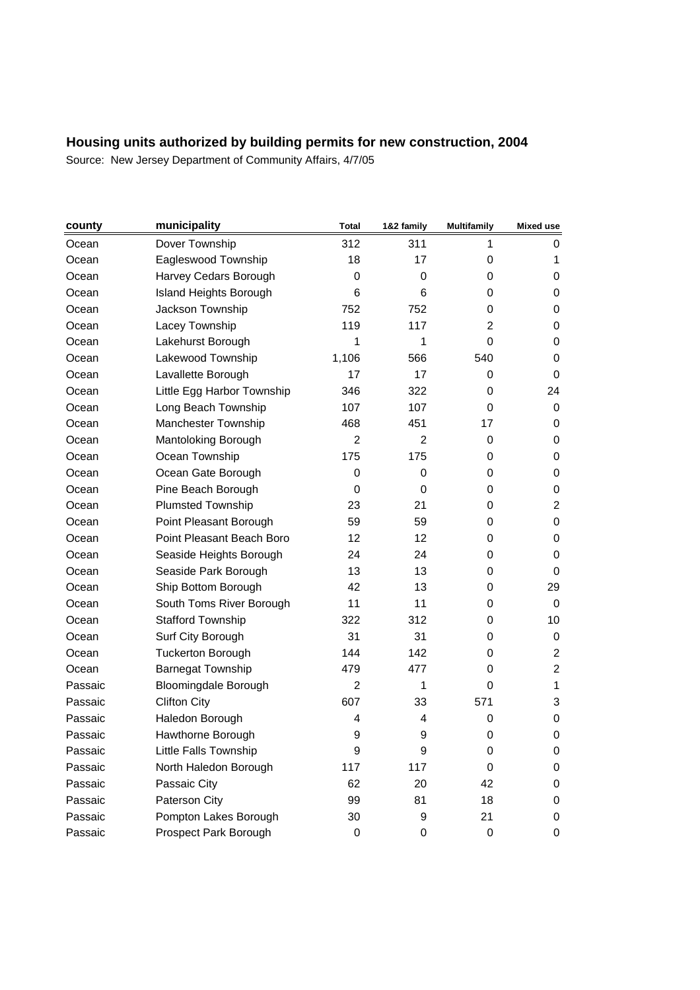| county  | municipality                | Total             | 1&2 family | <b>Multifamily</b> | <b>Mixed use</b> |
|---------|-----------------------------|-------------------|------------|--------------------|------------------|
| Ocean   | Dover Township              | 312               | 311        | 1                  | 0                |
| Ocean   | Eagleswood Township         | 18                | 17         | 0                  | 1                |
| Ocean   | Harvey Cedars Borough       | 0                 | 0          | 0                  | 0                |
| Ocean   | Island Heights Borough      | 6                 | 6          | 0                  | 0                |
| Ocean   | Jackson Township            | 752               | 752        | 0                  | 0                |
| Ocean   | Lacey Township              | 119               | 117        | $\overline{2}$     | 0                |
| Ocean   | Lakehurst Borough           | 1                 | 1          | $\Omega$           | 0                |
| Ocean   | Lakewood Township           | 1,106             | 566        | 540                | 0                |
| Ocean   | Lavallette Borough          | 17                | 17         | 0                  | 0                |
| Ocean   | Little Egg Harbor Township  | 346               | 322        | $\mathbf 0$        | 24               |
| Ocean   | Long Beach Township         | 107               | 107        | 0                  | 0                |
| Ocean   | Manchester Township         | 468               | 451        | 17                 | 0                |
| Ocean   | Mantoloking Borough         | $\overline{2}$    | 2          | 0                  | 0                |
| Ocean   | Ocean Township              | 175               | 175        | 0                  | 0                |
| Ocean   | Ocean Gate Borough          | 0                 | 0          | 0                  | 0                |
| Ocean   | Pine Beach Borough          | 0                 | 0          | 0                  | 0                |
| Ocean   | Plumsted Township           | 23                | 21         | 0                  | $\overline{2}$   |
| Ocean   | Point Pleasant Borough      | 59                | 59         | 0                  | 0                |
| Ocean   | Point Pleasant Beach Boro   | $12 \overline{ }$ | 12         | 0                  | 0                |
| Ocean   | Seaside Heights Borough     | 24                | 24         | $\mathbf 0$        | 0                |
| Ocean   | Seaside Park Borough        | 13                | 13         | $\mathbf 0$        | 0                |
| Ocean   | Ship Bottom Borough         | 42                | 13         | 0                  | 29               |
| Ocean   | South Toms River Borough    | 11                | 11         | 0                  | $\mathbf 0$      |
| Ocean   | <b>Stafford Township</b>    | 322               | 312        | 0                  | 10               |
| Ocean   | Surf City Borough           | 31                | 31         | 0                  | 0                |
| Ocean   | <b>Tuckerton Borough</b>    | 144               | 142        | $\mathbf 0$        | $\overline{2}$   |
| Ocean   | <b>Barnegat Township</b>    | 479               | 477        | 0                  | $\overline{c}$   |
| Passaic | <b>Bloomingdale Borough</b> | $\overline{2}$    | 1          | 0                  | 1                |
| Passaic | <b>Clifton City</b>         | 607               | 33         | 571                | 3                |
| Passaic | Haledon Borough             | 4                 | 4          | 0                  | 0                |
| Passaic | Hawthorne Borough           | 9                 | 9          | $\mathbf 0$        | 0                |
| Passaic | Little Falls Township       | 9                 | 9          | 0                  | 0                |
| Passaic | North Haledon Borough       | 117               | 117        | 0                  | 0                |
| Passaic | Passaic City                | 62                | 20         | 42                 | 0                |
| Passaic | Paterson City               | 99                | 81         | 18                 | 0                |
| Passaic | Pompton Lakes Borough       | 30                | 9          | 21                 | 0                |
| Passaic | Prospect Park Borough       | 0                 | 0          | 0                  | 0                |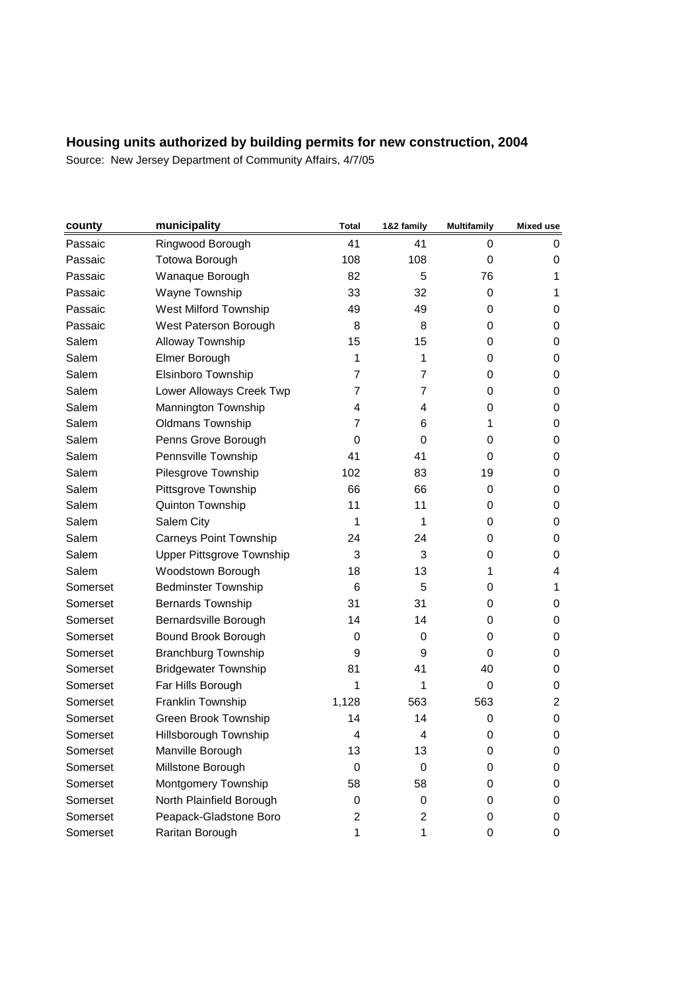| county   | municipality                  | <b>Total</b>   | 1&2 family     | <b>Multifamily</b> | <b>Mixed use</b> |
|----------|-------------------------------|----------------|----------------|--------------------|------------------|
| Passaic  | Ringwood Borough              | 41             | 41             | 0                  | 0                |
| Passaic  | Totowa Borough                | 108            | 108            | 0                  | 0                |
| Passaic  | Wanaque Borough               | 82             | 5              | 76                 | 1                |
| Passaic  | Wayne Township                | 33             | 32             | 0                  | 1                |
| Passaic  | West Milford Township         | 49             | 49             | 0                  | 0                |
| Passaic  | West Paterson Borough         | 8              | 8              | 0                  | 0                |
| Salem    | Alloway Township              | 15             | 15             | 0                  | 0                |
| Salem    | Elmer Borough                 | 1              | 1              | 0                  | 0                |
| Salem    | Elsinboro Township            | 7              | $\overline{7}$ | 0                  | 0                |
| Salem    | Lower Alloways Creek Twp      | $\overline{7}$ | $\overline{7}$ | 0                  | 0                |
| Salem    | Mannington Township           | 4              | 4              | 0                  | 0                |
| Salem    | Oldmans Township              | 7              | 6              | 1                  | 0                |
| Salem    | Penns Grove Borough           | 0              | 0              | 0                  | 0                |
| Salem    | Pennsville Township           | 41             | 41             | 0                  | 0                |
| Salem    | Pilesgrove Township           | 102            | 83             | 19                 | 0                |
| Salem    | Pittsgrove Township           | 66             | 66             | 0                  | 0                |
| Salem    | Quinton Township              | 11             | 11             | 0                  | 0                |
| Salem    | Salem City                    | 1              | 1              | 0                  | 0                |
| Salem    | <b>Carneys Point Township</b> | 24             | 24             | 0                  | 0                |
| Salem    | Upper Pittsgrove Township     | 3              | 3              | 0                  | 0                |
| Salem    | Woodstown Borough             | 18             | 13             | 1                  | 4                |
| Somerset | <b>Bedminster Township</b>    | 6              | 5              | 0                  | 1                |
| Somerset | <b>Bernards Township</b>      | 31             | 31             | 0                  | 0                |
| Somerset | Bernardsville Borough         | 14             | 14             | 0                  | 0                |
| Somerset | Bound Brook Borough           | 0              | 0              | 0                  | 0                |
| Somerset | <b>Branchburg Township</b>    | 9              | 9              | 0                  | 0                |
| Somerset | <b>Bridgewater Township</b>   | 81             | 41             | 40                 | 0                |
| Somerset | Far Hills Borough             | 1              | 1              | 0                  | 0                |
| Somerset | Franklin Township             | 1,128          | 563            | 563                | 2                |
| Somerset | Green Brook Township          | 14             | 14             | 0                  | 0                |
| Somerset | Hillsborough Township         | 4              | 4              | 0                  | 0                |
| Somerset | Manville Borough              | 13             | 13             | 0                  | 0                |
| Somerset | Millstone Borough             | 0              | $\,0\,$        | 0                  | 0                |
| Somerset | Montgomery Township           | 58             | 58             | 0                  | 0                |
| Somerset | North Plainfield Borough      | 0              | 0              | 0                  | 0                |
| Somerset | Peapack-Gladstone Boro        | 2              | $\overline{c}$ | 0                  | 0                |
| Somerset | Raritan Borough               | 1              | 1              | 0                  | 0                |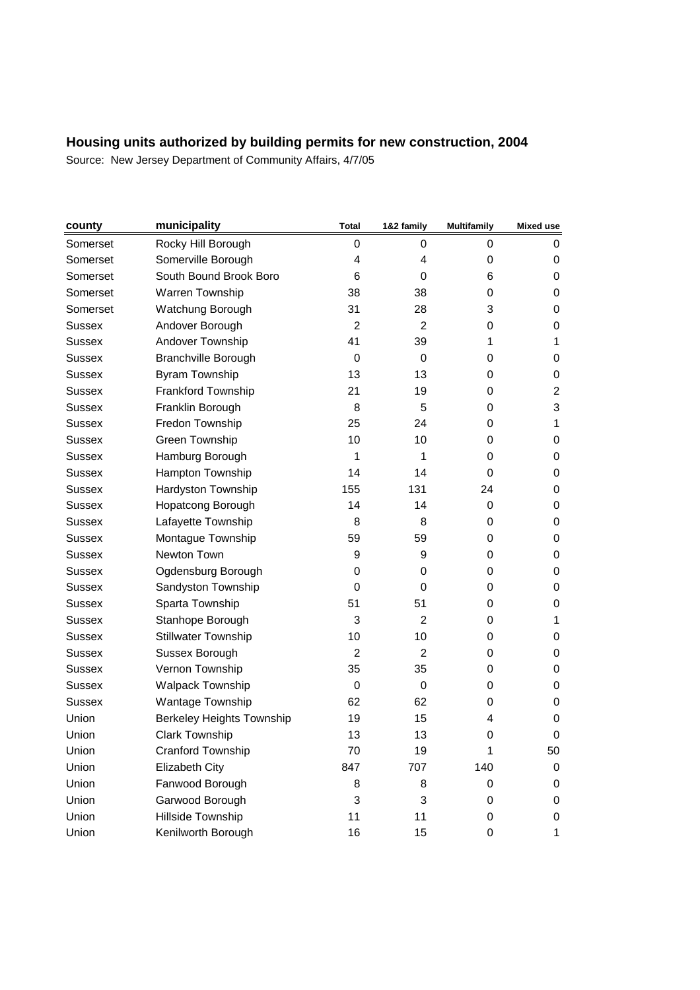| county        | municipality                     | <b>Total</b>   | 1&2 family     | <b>Multifamily</b> | Mixed use |
|---------------|----------------------------------|----------------|----------------|--------------------|-----------|
| Somerset      | Rocky Hill Borough               | 0              | 0              | 0                  | 0         |
| Somerset      | Somerville Borough               | 4              | 4              | 0                  | 0         |
| Somerset      | South Bound Brook Boro           | 6              | 0              | 6                  | 0         |
| Somerset      | Warren Township                  | 38             | 38             | 0                  | 0         |
| Somerset      | Watchung Borough                 | 31             | 28             | 3                  | 0         |
| <b>Sussex</b> | Andover Borough                  | 2              | 2              | 0                  | 0         |
| <b>Sussex</b> | Andover Township                 | 41             | 39             | 1                  | 1         |
| <b>Sussex</b> | <b>Branchville Borough</b>       | 0              | 0              | 0                  | 0         |
| Sussex        | Byram Township                   | 13             | 13             | 0                  | 0         |
| Sussex        | Frankford Township               | 21             | 19             | 0                  | 2         |
| <b>Sussex</b> | Franklin Borough                 | 8              | 5              | 0                  | 3         |
| <b>Sussex</b> | Fredon Township                  | 25             | 24             | 0                  | 1         |
| Sussex        | Green Township                   | 10             | 10             | 0                  | 0         |
| Sussex        | Hamburg Borough                  | 1              | 1              | 0                  | 0         |
| <b>Sussex</b> | Hampton Township                 | 14             | 14             | 0                  | 0         |
| Sussex        | Hardyston Township               | 155            | 131            | 24                 | 0         |
| Sussex        | Hopatcong Borough                | 14             | 14             | 0                  | 0         |
| <b>Sussex</b> | Lafayette Township               | 8              | 8              | 0                  | 0         |
| <b>Sussex</b> | Montague Township                | 59             | 59             | 0                  | 0         |
| Sussex        | Newton Town                      | 9              | 9              | 0                  | 0         |
| Sussex        | Ogdensburg Borough               | 0              | 0              | 0                  | 0         |
| Sussex        | Sandyston Township               | 0              | 0              | 0                  | 0         |
| <b>Sussex</b> | Sparta Township                  | 51             | 51             | 0                  | 0         |
| <b>Sussex</b> | Stanhope Borough                 | 3              | 2              | 0                  | 1         |
| <b>Sussex</b> | <b>Stillwater Township</b>       | 10             | 10             | 0                  | 0         |
| Sussex        | Sussex Borough                   | $\overline{2}$ | $\overline{2}$ | 0                  | 0         |
| Sussex        | Vernon Township                  | 35             | 35             | 0                  | 0         |
| <b>Sussex</b> | Walpack Township                 | 0              | 0              | 0                  | 0         |
| <b>Sussex</b> | Wantage Township                 | 62             | 62             | 0                  | 0         |
| Union         | <b>Berkeley Heights Township</b> | 19             | 15             | 4                  | 0         |
| Union         | <b>Clark Township</b>            | 13             | 13             | 0                  | 0         |
| Union         | Cranford Township                | 70             | 19             | 1                  | 50        |
| Union         | Elizabeth City                   | 847            | 707            | 140                | 0         |
| Union         | Fanwood Borough                  | 8              | 8              | 0                  | 0         |
| Union         | Garwood Borough                  | 3              | 3              | 0                  | 0         |
| Union         | Hillside Township                | 11             | 11             | 0                  | 0         |
| Union         | Kenilworth Borough               | 16             | 15             | 0                  | 1         |